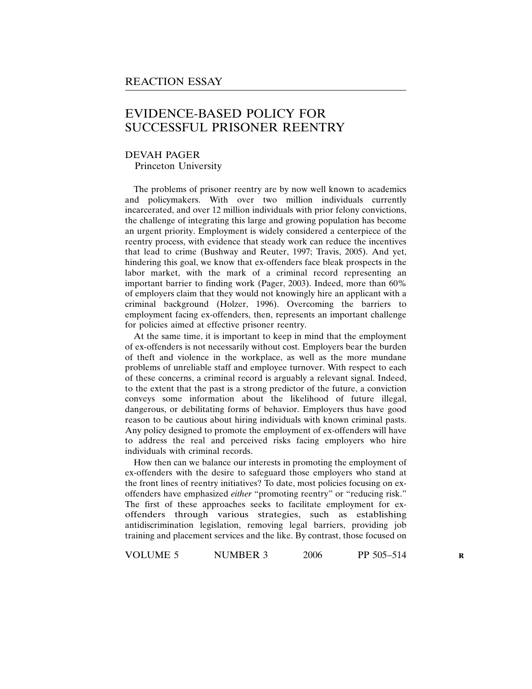# EVIDENCE-BASED POLICY FOR SUCCESSFUL PRISONER REENTRY

### DEVAH PAGER

Princeton University

The problems of prisoner reentry are by now well known to academics and policymakers. With over two million individuals currently incarcerated, and over 12 million individuals with prior felony convictions, the challenge of integrating this large and growing population has become an urgent priority. Employment is widely considered a centerpiece of the reentry process, with evidence that steady work can reduce the incentives that lead to crime (Bushway and Reuter, 1997; Travis, 2005). And yet, hindering this goal, we know that ex-offenders face bleak prospects in the labor market, with the mark of a criminal record representing an important barrier to finding work (Pager, 2003). Indeed, more than 60% of employers claim that they would not knowingly hire an applicant with a criminal background (Holzer, 1996). Overcoming the barriers to employment facing ex-offenders, then, represents an important challenge for policies aimed at effective prisoner reentry.

At the same time, it is important to keep in mind that the employment of ex-offenders is not necessarily without cost. Employers bear the burden of theft and violence in the workplace, as well as the more mundane problems of unreliable staff and employee turnover. With respect to each of these concerns, a criminal record is arguably a relevant signal. Indeed, to the extent that the past is a strong predictor of the future, a conviction conveys some information about the likelihood of future illegal, dangerous, or debilitating forms of behavior. Employers thus have good reason to be cautious about hiring individuals with known criminal pasts. Any policy designed to promote the employment of ex-offenders will have to address the real and perceived risks facing employers who hire individuals with criminal records.

How then can we balance our interests in promoting the employment of ex-offenders with the desire to safeguard those employers who stand at the front lines of reentry initiatives? To date, most policies focusing on exoffenders have emphasized *either* "promoting reentry" or "reducing risk." The first of these approaches seeks to facilitate employment for exoffenders through various strategies, such as establishing antidiscrimination legislation, removing legal barriers, providing job training and placement services and the like. By contrast, those focused on

VOLUME 5 NUMBER 3 2006 PP 505–514 **R**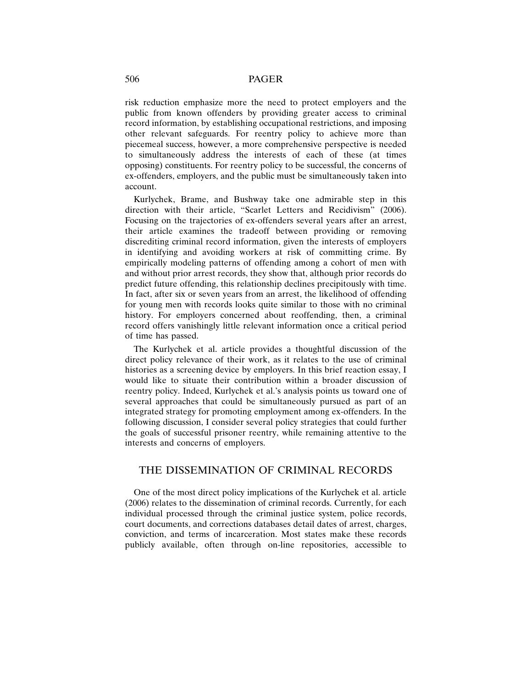risk reduction emphasize more the need to protect employers and the public from known offenders by providing greater access to criminal record information, by establishing occupational restrictions, and imposing other relevant safeguards. For reentry policy to achieve more than piecemeal success, however, a more comprehensive perspective is needed to simultaneously address the interests of each of these (at times opposing) constituents. For reentry policy to be successful, the concerns of ex-offenders, employers, and the public must be simultaneously taken into account.

Kurlychek, Brame, and Bushway take one admirable step in this direction with their article, "Scarlet Letters and Recidivism" (2006). Focusing on the trajectories of ex-offenders several years after an arrest, their article examines the tradeoff between providing or removing discrediting criminal record information, given the interests of employers in identifying and avoiding workers at risk of committing crime. By empirically modeling patterns of offending among a cohort of men with and without prior arrest records, they show that, although prior records do predict future offending, this relationship declines precipitously with time. In fact, after six or seven years from an arrest, the likelihood of offending for young men with records looks quite similar to those with no criminal history. For employers concerned about reoffending, then, a criminal record offers vanishingly little relevant information once a critical period of time has passed.

The Kurlychek et al. article provides a thoughtful discussion of the direct policy relevance of their work, as it relates to the use of criminal histories as a screening device by employers. In this brief reaction essay, I would like to situate their contribution within a broader discussion of reentry policy. Indeed, Kurlychek et al.'s analysis points us toward one of several approaches that could be simultaneously pursued as part of an integrated strategy for promoting employment among ex-offenders. In the following discussion, I consider several policy strategies that could further the goals of successful prisoner reentry, while remaining attentive to the interests and concerns of employers.

# THE DISSEMINATION OF CRIMINAL RECORDS

One of the most direct policy implications of the Kurlychek et al. article (2006) relates to the dissemination of criminal records. Currently, for each individual processed through the criminal justice system, police records, court documents, and corrections databases detail dates of arrest, charges, conviction, and terms of incarceration. Most states make these records publicly available, often through on-line repositories, accessible to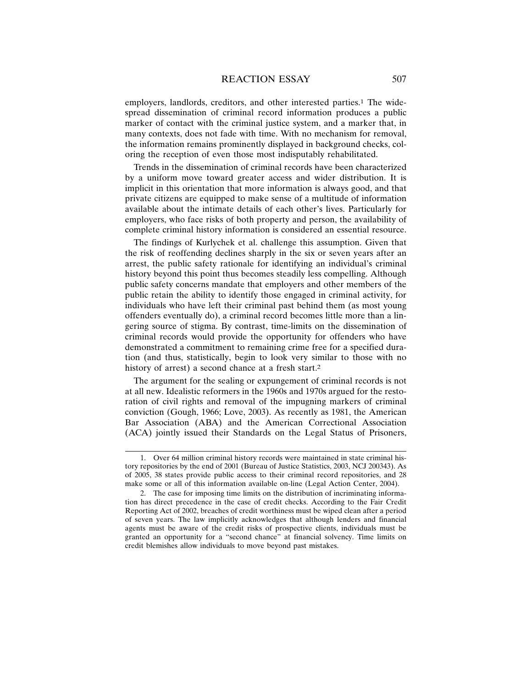employers, landlords, creditors, and other interested parties.1 The widespread dissemination of criminal record information produces a public marker of contact with the criminal justice system, and a marker that, in many contexts, does not fade with time. With no mechanism for removal, the information remains prominently displayed in background checks, coloring the reception of even those most indisputably rehabilitated.

Trends in the dissemination of criminal records have been characterized by a uniform move toward greater access and wider distribution. It is implicit in this orientation that more information is always good, and that private citizens are equipped to make sense of a multitude of information available about the intimate details of each other's lives. Particularly for employers, who face risks of both property and person, the availability of complete criminal history information is considered an essential resource.

The findings of Kurlychek et al. challenge this assumption. Given that the risk of reoffending declines sharply in the six or seven years after an arrest, the public safety rationale for identifying an individual's criminal history beyond this point thus becomes steadily less compelling. Although public safety concerns mandate that employers and other members of the public retain the ability to identify those engaged in criminal activity, for individuals who have left their criminal past behind them (as most young offenders eventually do), a criminal record becomes little more than a lingering source of stigma. By contrast, time-limits on the dissemination of criminal records would provide the opportunity for offenders who have demonstrated a commitment to remaining crime free for a specified duration (and thus, statistically, begin to look very similar to those with no history of arrest) a second chance at a fresh start.2

The argument for the sealing or expungement of criminal records is not at all new. Idealistic reformers in the 1960s and 1970s argued for the restoration of civil rights and removal of the impugning markers of criminal conviction (Gough, 1966; Love, 2003). As recently as 1981, the American Bar Association (ABA) and the American Correctional Association (ACA) jointly issued their Standards on the Legal Status of Prisoners,

<sup>1.</sup> Over 64 million criminal history records were maintained in state criminal history repositories by the end of 2001 (Bureau of Justice Statistics, 2003, NCJ 200343). As of 2005, 38 states provide public access to their criminal record repositories, and 28 make some or all of this information available on-line (Legal Action Center, 2004).

<sup>2.</sup> The case for imposing time limits on the distribution of incriminating information has direct precedence in the case of credit checks. According to the Fair Credit Reporting Act of 2002, breaches of credit worthiness must be wiped clean after a period of seven years. The law implicitly acknowledges that although lenders and financial agents must be aware of the credit risks of prospective clients, individuals must be granted an opportunity for a "second chance" at financial solvency. Time limits on credit blemishes allow individuals to move beyond past mistakes.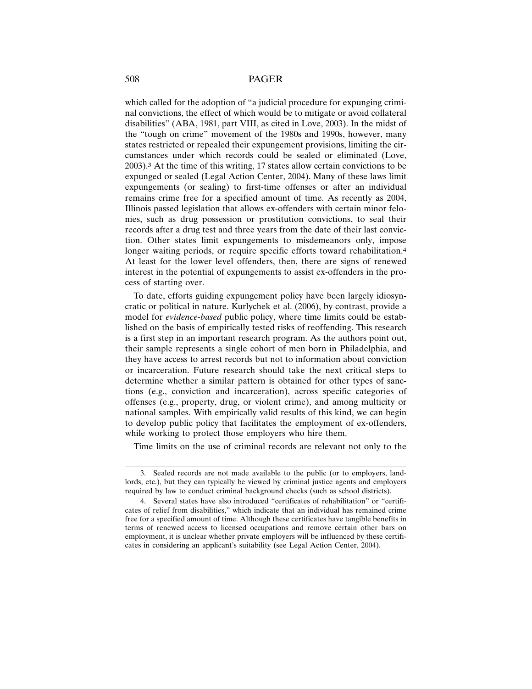which called for the adoption of "a judicial procedure for expunging criminal convictions, the effect of which would be to mitigate or avoid collateral disabilities" (ABA, 1981, part VIII, as cited in Love, 2003). In the midst of the "tough on crime" movement of the 1980s and 1990s, however, many states restricted or repealed their expungement provisions, limiting the circumstances under which records could be sealed or eliminated (Love, 2003).3 At the time of this writing, 17 states allow certain convictions to be expunged or sealed (Legal Action Center, 2004). Many of these laws limit expungements (or sealing) to first-time offenses or after an individual remains crime free for a specified amount of time. As recently as 2004, Illinois passed legislation that allows ex-offenders with certain minor felonies, such as drug possession or prostitution convictions, to seal their records after a drug test and three years from the date of their last conviction. Other states limit expungements to misdemeanors only, impose longer waiting periods, or require specific efforts toward rehabilitation.4 At least for the lower level offenders, then, there are signs of renewed interest in the potential of expungements to assist ex-offenders in the process of starting over.

To date, efforts guiding expungement policy have been largely idiosyncratic or political in nature. Kurlychek et al. (2006), by contrast, provide a model for *evidence-based* public policy, where time limits could be established on the basis of empirically tested risks of reoffending. This research is a first step in an important research program. As the authors point out, their sample represents a single cohort of men born in Philadelphia, and they have access to arrest records but not to information about conviction or incarceration. Future research should take the next critical steps to determine whether a similar pattern is obtained for other types of sanctions (e.g., conviction and incarceration), across specific categories of offenses (e.g., property, drug, or violent crime), and among multicity or national samples. With empirically valid results of this kind, we can begin to develop public policy that facilitates the employment of ex-offenders, while working to protect those employers who hire them.

Time limits on the use of criminal records are relevant not only to the

<sup>3.</sup> Sealed records are not made available to the public (or to employers, landlords, etc.), but they can typically be viewed by criminal justice agents and employers required by law to conduct criminal background checks (such as school districts).

<sup>4.</sup> Several states have also introduced "certificates of rehabilitation" or "certificates of relief from disabilities," which indicate that an individual has remained crime free for a specified amount of time. Although these certificates have tangible benefits in terms of renewed access to licensed occupations and remove certain other bars on employment, it is unclear whether private employers will be influenced by these certificates in considering an applicant's suitability (see Legal Action Center, 2004).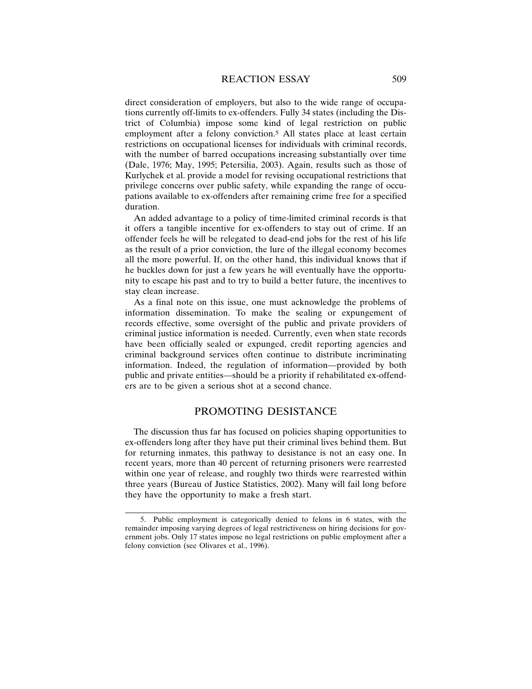direct consideration of employers, but also to the wide range of occupations currently off-limits to ex-offenders. Fully 34 states (including the District of Columbia) impose some kind of legal restriction on public employment after a felony conviction.5 All states place at least certain restrictions on occupational licenses for individuals with criminal records, with the number of barred occupations increasing substantially over time (Dale, 1976; May, 1995; Petersilia, 2003). Again, results such as those of Kurlychek et al. provide a model for revising occupational restrictions that privilege concerns over public safety, while expanding the range of occupations available to ex-offenders after remaining crime free for a specified duration.

An added advantage to a policy of time-limited criminal records is that it offers a tangible incentive for ex-offenders to stay out of crime. If an offender feels he will be relegated to dead-end jobs for the rest of his life as the result of a prior conviction, the lure of the illegal economy becomes all the more powerful. If, on the other hand, this individual knows that if he buckles down for just a few years he will eventually have the opportunity to escape his past and to try to build a better future, the incentives to stay clean increase.

As a final note on this issue, one must acknowledge the problems of information dissemination. To make the sealing or expungement of records effective, some oversight of the public and private providers of criminal justice information is needed. Currently, even when state records have been officially sealed or expunged, credit reporting agencies and criminal background services often continue to distribute incriminating information. Indeed, the regulation of information—provided by both public and private entities—should be a priority if rehabilitated ex-offenders are to be given a serious shot at a second chance.

# PROMOTING DESISTANCE

The discussion thus far has focused on policies shaping opportunities to ex-offenders long after they have put their criminal lives behind them. But for returning inmates, this pathway to desistance is not an easy one. In recent years, more than 40 percent of returning prisoners were rearrested within one year of release, and roughly two thirds were rearrested within three years (Bureau of Justice Statistics, 2002). Many will fail long before they have the opportunity to make a fresh start.

<sup>5.</sup> Public employment is categorically denied to felons in 6 states, with the remainder imposing varying degrees of legal restrictiveness on hiring decisions for government jobs. Only 17 states impose no legal restrictions on public employment after a felony conviction (see Olivares et al., 1996).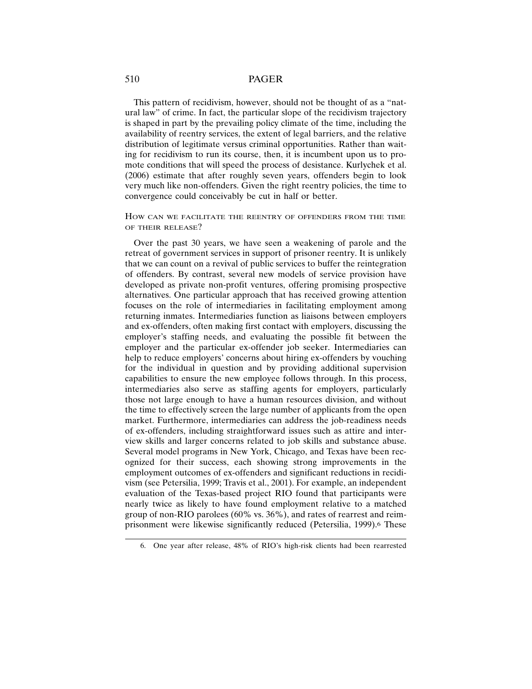This pattern of recidivism, however, should not be thought of as a "natural law" of crime. In fact, the particular slope of the recidivism trajectory is shaped in part by the prevailing policy climate of the time, including the availability of reentry services, the extent of legal barriers, and the relative distribution of legitimate versus criminal opportunities. Rather than waiting for recidivism to run its course, then, it is incumbent upon us to promote conditions that will speed the process of desistance. Kurlychek et al. (2006) estimate that after roughly seven years, offenders begin to look very much like non-offenders. Given the right reentry policies, the time to convergence could conceivably be cut in half or better.

### HOW CAN WE FACILITATE THE REENTRY OF OFFENDERS FROM THE TIME OF THEIR RELEASE?

Over the past 30 years, we have seen a weakening of parole and the retreat of government services in support of prisoner reentry. It is unlikely that we can count on a revival of public services to buffer the reintegration of offenders. By contrast, several new models of service provision have developed as private non-profit ventures, offering promising prospective alternatives. One particular approach that has received growing attention focuses on the role of intermediaries in facilitating employment among returning inmates. Intermediaries function as liaisons between employers and ex-offenders, often making first contact with employers, discussing the employer's staffing needs, and evaluating the possible fit between the employer and the particular ex-offender job seeker. Intermediaries can help to reduce employers' concerns about hiring ex-offenders by vouching for the individual in question and by providing additional supervision capabilities to ensure the new employee follows through. In this process, intermediaries also serve as staffing agents for employers, particularly those not large enough to have a human resources division, and without the time to effectively screen the large number of applicants from the open market. Furthermore, intermediaries can address the job-readiness needs of ex-offenders, including straightforward issues such as attire and interview skills and larger concerns related to job skills and substance abuse. Several model programs in New York, Chicago, and Texas have been recognized for their success, each showing strong improvements in the employment outcomes of ex-offenders and significant reductions in recidivism (see Petersilia, 1999; Travis et al., 2001). For example, an independent evaluation of the Texas-based project RIO found that participants were nearly twice as likely to have found employment relative to a matched group of non-RIO parolees (60% vs. 36%), and rates of rearrest and reimprisonment were likewise significantly reduced (Petersilia, 1999).6 These

<sup>6.</sup> One year after release, 48% of RIO's high-risk clients had been rearrested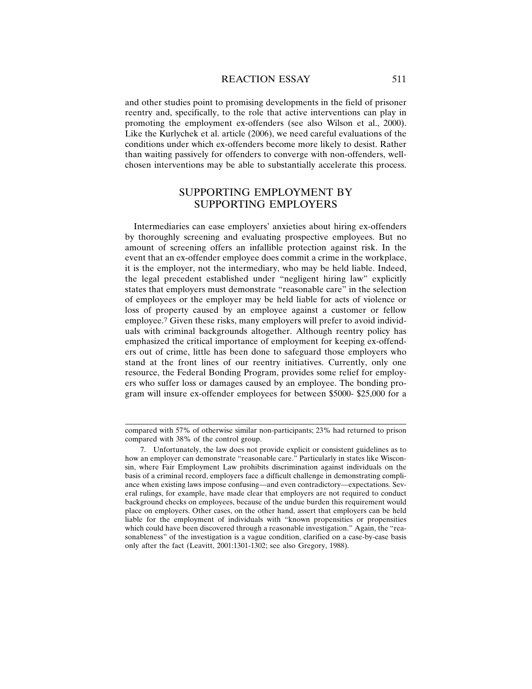### REACTION ESSAY 511

and other studies point to promising developments in the field of prisoner reentry and, specifically, to the role that active interventions can play in promoting the employment ex-offenders (see also Wilson et al., 2000). Like the Kurlychek et al. article (2006), we need careful evaluations of the conditions under which ex-offenders become more likely to desist. Rather than waiting passively for offenders to converge with non-offenders, wellchosen interventions may be able to substantially accelerate this process.

# SUPPORTING EMPLOYMENT BY SUPPORTING EMPLOYERS

Intermediaries can ease employers' anxieties about hiring ex-offenders by thoroughly screening and evaluating prospective employees. But no amount of screening offers an infallible protection against risk. In the event that an ex-offender employee does commit a crime in the workplace, it is the employer, not the intermediary, who may be held liable. Indeed, the legal precedent established under "negligent hiring law" explicitly states that employers must demonstrate "reasonable care" in the selection of employees or the employer may be held liable for acts of violence or loss of property caused by an employee against a customer or fellow employee.7 Given these risks, many employers will prefer to avoid individuals with criminal backgrounds altogether. Although reentry policy has emphasized the critical importance of employment for keeping ex-offenders out of crime, little has been done to safeguard those employers who stand at the front lines of our reentry initiatives. Currently, only one resource, the Federal Bonding Program, provides some relief for employers who suffer loss or damages caused by an employee. The bonding program will insure ex-offender employees for between \$5000- \$25,000 for a

compared with 57% of otherwise similar non-participants; 23% had returned to prison compared with 38% of the control group.

<sup>7.</sup> Unfortunately, the law does not provide explicit or consistent guidelines as to how an employer can demonstrate "reasonable care." Particularly in states like Wisconsin, where Fair Employment Law prohibits discrimination against individuals on the basis of a criminal record, employers face a difficult challenge in demonstrating compliance when existing laws impose confusing—and even contradictory—expectations. Several rulings, for example, have made clear that employers are not required to conduct background checks on employees, because of the undue burden this requirement would place on employers. Other cases, on the other hand, assert that employers can be held liable for the employment of individuals with "known propensities or propensities which could have been discovered through a reasonable investigation." Again, the "reasonableness" of the investigation is a vague condition, clarified on a case-by-case basis only after the fact (Leavitt, 2001:1301-1302; see also Gregory, 1988).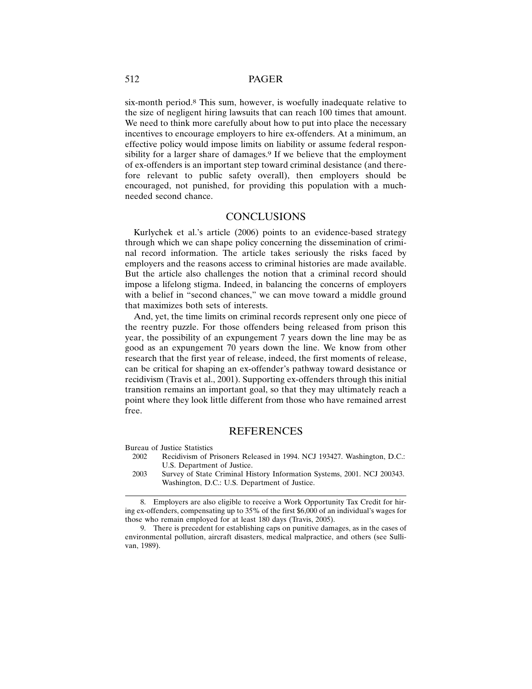six-month period.8 This sum, however, is woefully inadequate relative to the size of negligent hiring lawsuits that can reach 100 times that amount. We need to think more carefully about how to put into place the necessary incentives to encourage employers to hire ex-offenders. At a minimum, an effective policy would impose limits on liability or assume federal responsibility for a larger share of damages.<sup>9</sup> If we believe that the employment of ex-offenders is an important step toward criminal desistance (and therefore relevant to public safety overall), then employers should be encouraged, not punished, for providing this population with a muchneeded second chance.

# **CONCLUSIONS**

Kurlychek et al.'s article (2006) points to an evidence-based strategy through which we can shape policy concerning the dissemination of criminal record information. The article takes seriously the risks faced by employers and the reasons access to criminal histories are made available. But the article also challenges the notion that a criminal record should impose a lifelong stigma. Indeed, in balancing the concerns of employers with a belief in "second chances," we can move toward a middle ground that maximizes both sets of interests.

And, yet, the time limits on criminal records represent only one piece of the reentry puzzle. For those offenders being released from prison this year, the possibility of an expungement 7 years down the line may be as good as an expungement 70 years down the line. We know from other research that the first year of release, indeed, the first moments of release, can be critical for shaping an ex-offender's pathway toward desistance or recidivism (Travis et al., 2001). Supporting ex-offenders through this initial transition remains an important goal, so that they may ultimately reach a point where they look little different from those who have remained arrest free.

## REFERENCES

#### Bureau of Justice Statistics

- 2002 Recidivism of Prisoners Released in 1994. NCJ 193427. Washington, D.C.: U.S. Department of Justice.
- 2003 Survey of State Criminal History Information Systems, 2001. NCJ 200343. Washington, D.C.: U.S. Department of Justice.

8. Employers are also eligible to receive a Work Opportunity Tax Credit for hiring ex-offenders, compensating up to 35% of the first \$6,000 of an individual's wages for those who remain employed for at least 180 days (Travis, 2005).

9. There is precedent for establishing caps on punitive damages, as in the cases of environmental pollution, aircraft disasters, medical malpractice, and others (see Sullivan, 1989).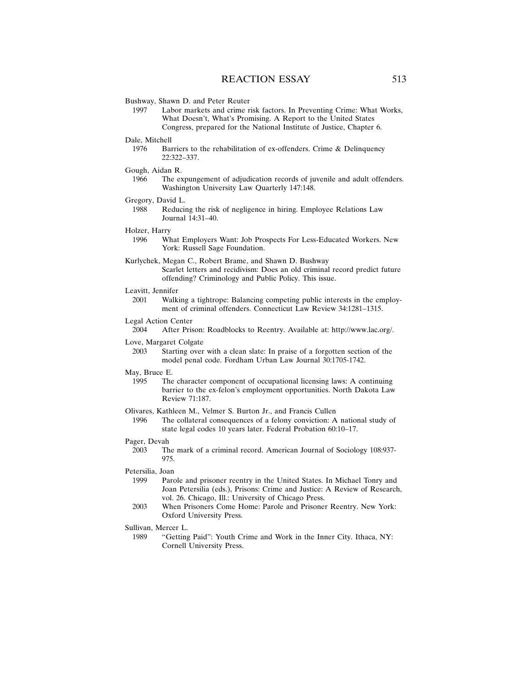Bushway, Shawn D. and Peter Reuter

1997 Labor markets and crime risk factors. In Preventing Crime: What Works, What Doesn't, What's Promising. A Report to the United States Congress, prepared for the National Institute of Justice, Chapter 6.

#### Dale, Mitchell

- 1976 Barriers to the rehabilitation of ex-offenders. Crime & Delinquency 22:322–337.
- Gough, Aidan R.
	- 1966 The expungement of adjudication records of juvenile and adult offenders. Washington University Law Quarterly 147:148.

#### Gregory, David L.

1988 Reducing the risk of negligence in hiring. Employee Relations Law Journal 14:31–40.

# Holzer, Harry<br>1996 W

- What Employers Want: Job Prospects For Less-Educated Workers. New York: Russell Sage Foundation.
- Kurlychek, Megan C., Robert Brame, and Shawn D. Bushway Scarlet letters and recidivism: Does an old criminal record predict future offending? Criminology and Public Policy. This issue.

#### Leavitt, Jennifer

2001 Walking a tightrope: Balancing competing public interests in the employment of criminal offenders. Connecticut Law Review 34:1281–1315.

#### Legal Action Center

2004 After Prison: Roadblocks to Reentry. Available at: http://www.lac.org/.

#### Love, Margaret Colgate

2003 Starting over with a clean slate: In praise of a forgotten section of the model penal code. Fordham Urban Law Journal 30:1705-1742.

#### May, Bruce E.

1995 The character component of occupational licensing laws: A continuing barrier to the ex-felon's employment opportunities. North Dakota Law Review 71:187.

#### Olivares, Kathleen M., Velmer S. Burton Jr., and Francis Cullen

1996 The collateral consequences of a felony conviction: A national study of state legal codes 10 years later. Federal Probation 60:10–17.

# Pager, Devah<br>2003 Th

The mark of a criminal record. American Journal of Sociology 108:937-975.

#### Petersilia, Joan

- 1999 Parole and prisoner reentry in the United States. In Michael Tonry and Joan Petersilia (eds.), Prisons: Crime and Justice: A Review of Research, vol. 26. Chicago, Ill.: University of Chicago Press.
- 2003 When Prisoners Come Home: Parole and Prisoner Reentry. New York: Oxford University Press.

#### Sullivan, Mercer L.

1989 "Getting Paid": Youth Crime and Work in the Inner City. Ithaca, NY: Cornell University Press.